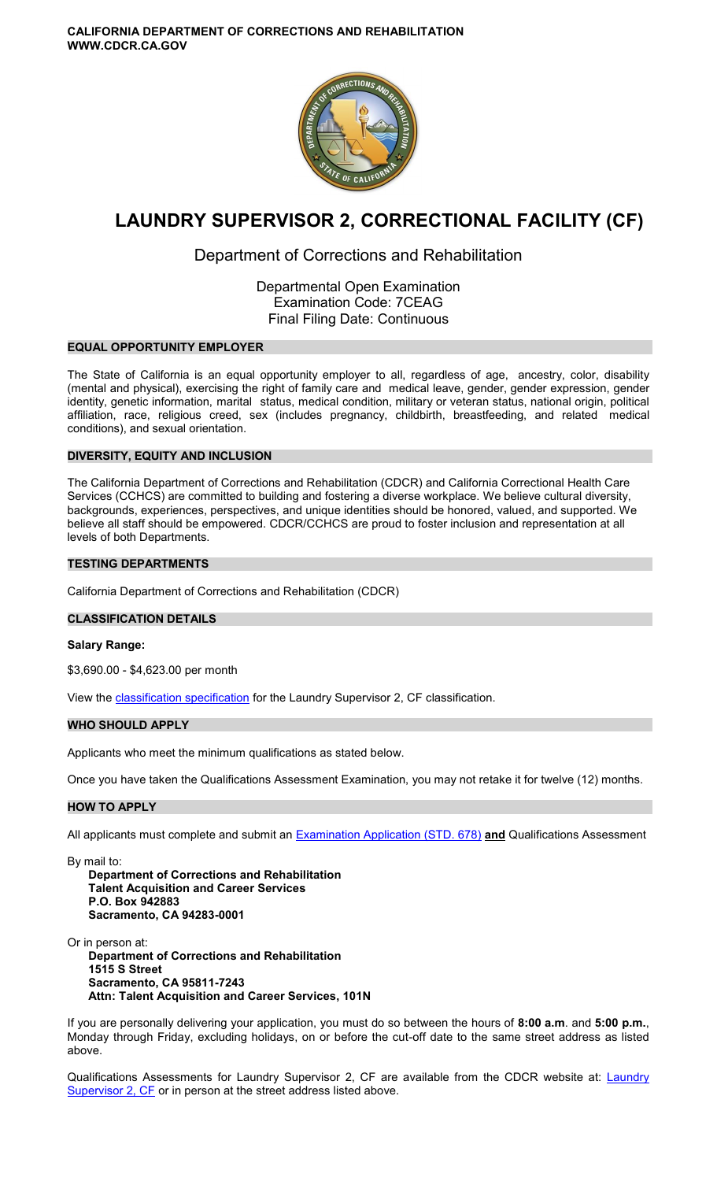

# **LAUNDRY SUPERVISOR 2, CORRECTIONAL FACILITY (CF)**

## Department of Corrections and Rehabilitation

Departmental Open Examination Examination Code: 7CEAG Final Filing Date: Continuous

## **EQUAL OPPORTUNITY EMPLOYER**

The State of California is an equal opportunity employer to all, regardless of age, ancestry, color, disability (mental and physical), exercising the right of family care and medical leave, gender, gender expression, gender identity, genetic information, marital status, medical condition, military or veteran status, national origin, political affiliation, race, religious creed, sex (includes pregnancy, childbirth, breastfeeding, and related medical conditions), and sexual orientation.

## **DIVERSITY, EQUITY AND INCLUSION**

The California Department of Corrections and Rehabilitation (CDCR) and California Correctional Health Care Services (CCHCS) are committed to building and fostering a diverse workplace. We believe cultural diversity, backgrounds, experiences, perspectives, and unique identities should be honored, valued, and supported. We believe all staff should be empowered. CDCR/CCHCS are proud to foster inclusion and representation at all levels of both Departments.

## **TESTING DEPARTMENTS**

California Department of Corrections and Rehabilitation (CDCR)

## **CLASSIFICATION DETAILS**

## **Salary Range:**

\$3,690.00 - \$4,623.00 per month

View the [classification specification](http://www.calhr.ca.gov/state-hr-professionals/pages/2111.aspx) for the Laundry Supervisor 2, CF classification.

## **WHO SHOULD APPLY**

Applicants who meet the minimum qualifications as stated below.

Once you have taken the Qualifications Assessment Examination, you may not retake it for twelve (12) months.

## **HOW TO APPLY**

All applicants must complete and submit an [Examination Application \(STD. 678\)](https://jobs.ca.gov/pdf/STD678.pdf) **and** Qualifications Assessment

By mail to: **Department of Corrections and Rehabilitation Talent Acquisition and Career Services P.O. Box 942883 Sacramento, CA 94283-0001** 

Or in person at: **Department of Corrections and Rehabilitation 1515 S Street Sacramento, CA 95811-7243 Attn: Talent Acquisition and Career Services, 101N** 

If you are personally delivering your application, you must do so between the hours of **8:00 a.m**. and **5:00 p.m.**, Monday through Friday, excluding holidays, on or before the cut-off date to the same street address as listed above.

Qualifications Assessments for [Laundry](https://www.cdcr.ca.gov/careers/wp-content/uploads/sites/164/2019/06/LaundrySup2CF-QA.pdf) Supervisor 2, CF are available from the CDCR website at: Laundry [Supervisor 2, CF](https://www.cdcr.ca.gov/careers/wp-content/uploads/sites/164/2019/06/LaundrySup2CF-QA.pdf) or in person at the street address listed above.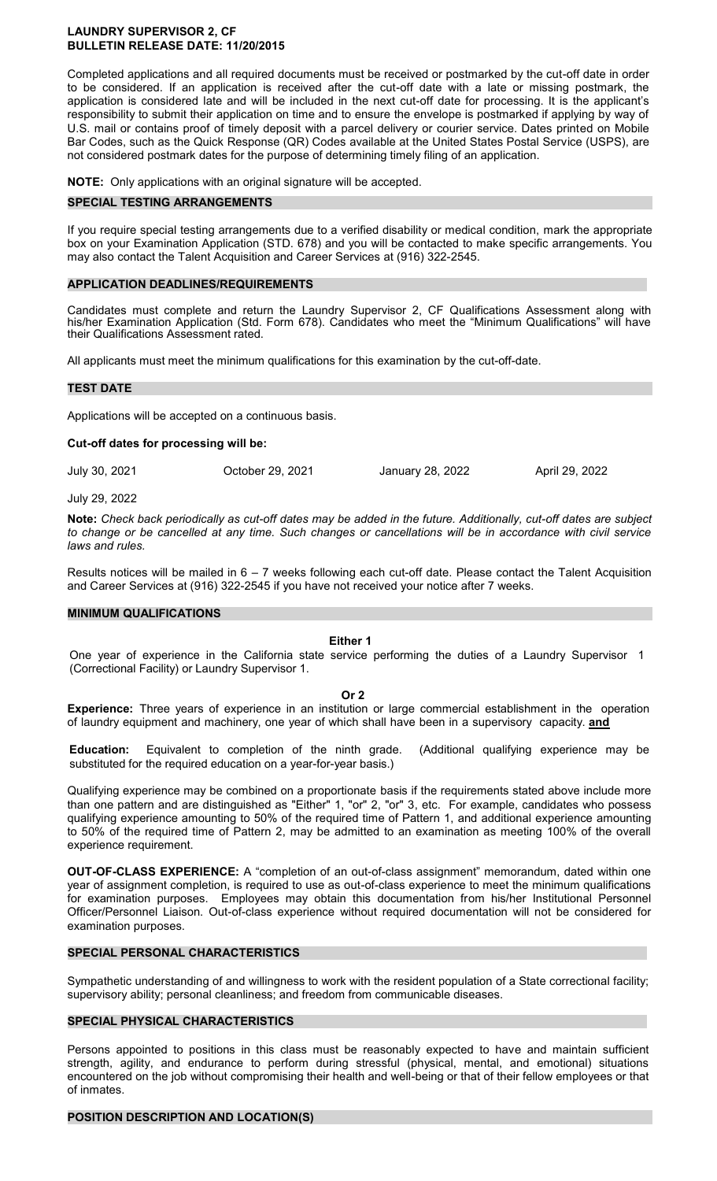#### **LAUNDRY SUPERVISOR 2, CF BULLETIN RELEASE DATE: 11/20/2015**

Completed applications and all required documents must be received or postmarked by the cut-off date in order to be considered. If an application is received after the cut-off date with a late or missing postmark, the application is considered late and will be included in the next cut-off date for processing. It is the applicant's responsibility to submit their application on time and to ensure the envelope is postmarked if applying by way of U.S. mail or contains proof of timely deposit with a parcel delivery or courier service. Dates printed on Mobile Bar Codes, such as the Quick Response (QR) Codes available at the United States Postal Service (USPS), are not considered postmark dates for the purpose of determining timely filing of an application.

**NOTE:** Only applications with an original signature will be accepted.

#### **SPECIAL TESTING ARRANGEMENTS**

If you require special testing arrangements due to a verified disability or medical condition, mark the appropriate box on your Examination Application (STD. 678) and you will be contacted to make specific arrangements. You may also contact the Talent Acquisition and Career Services at (916) 322-2545.

#### **APPLICATION DEADLINES/REQUIREMENTS**

Candidates must complete and return the Laundry Supervisor 2, CF Qualifications Assessment along with his/her Examination Application (Std. Form 678). Candidates who meet the "Minimum Qualifications" will have their Qualifications Assessment rated.

All applicants must meet the minimum qualifications for this examination by the cut-off-date.

#### **TEST DATE**

Applications will be accepted on a continuous basis.

**Cut-off dates for processing will be:** 

July 30, 2021 October 29, 2021 January 28, 2022 April 29, 2022

July 29, 2022

**Note:** *Check back periodically as cut-off dates may be added in the future. Additionally, cut-off dates are subject to change or be cancelled at any time. Such changes or cancellations will be in accordance with civil service laws and rules.* 

Results notices will be mailed in  $6 - 7$  weeks following each cut-off date. Please contact the Talent Acquisition and Career Services at (916) 322-2545 if you have not received your notice after 7 weeks.

#### **MINIMUM QUALIFICATIONS**

#### **Either 1**

One year of experience in the California state service performing the duties of a Laundry Supervisor 1 (Correctional Facility) or Laundry Supervisor 1.

#### **Or 2**

**Experience:** Three years of experience in an institution or large commercial establishment in the operation of laundry equipment and machinery, one year of which shall have been in a supervisory capacity. **and** 

**Education:** Equivalent to completion of the ninth grade. (Additional qualifying experience may be substituted for the required education on a year-for-year basis.)

Qualifying experience may be combined on a proportionate basis if the requirements stated above include more than one pattern and are distinguished as "Either" 1, "or" 2, "or" 3, etc. For example, candidates who possess qualifying experience amounting to 50% of the required time of Pattern 1, and additional experience amounting to 50% of the required time of Pattern 2, may be admitted to an examination as meeting 100% of the overall experience requirement.

**OUT-OF-CLASS EXPERIENCE:** A "completion of an out-of-class assignment" memorandum, dated within one year of assignment completion, is required to use as out-of-class experience to meet the minimum qualifications for examination purposes. Employees may obtain this documentation from his/her Institutional Personnel Officer/Personnel Liaison. Out-of-class experience without required documentation will not be considered for examination purposes.

#### **SPECIAL PERSONAL CHARACTERISTICS**

Sympathetic understanding of and willingness to work with the resident population of a State correctional facility; supervisory ability; personal cleanliness; and freedom from communicable diseases.

## **SPECIAL PHYSICAL CHARACTERISTICS**

Persons appointed to positions in this class must be reasonably expected to have and maintain sufficient strength, agility, and endurance to perform during stressful (physical, mental, and emotional) situations encountered on the job without compromising their health and well-being or that of their fellow employees or that of inmates.

#### **POSITION DESCRIPTION AND LOCATION(S)**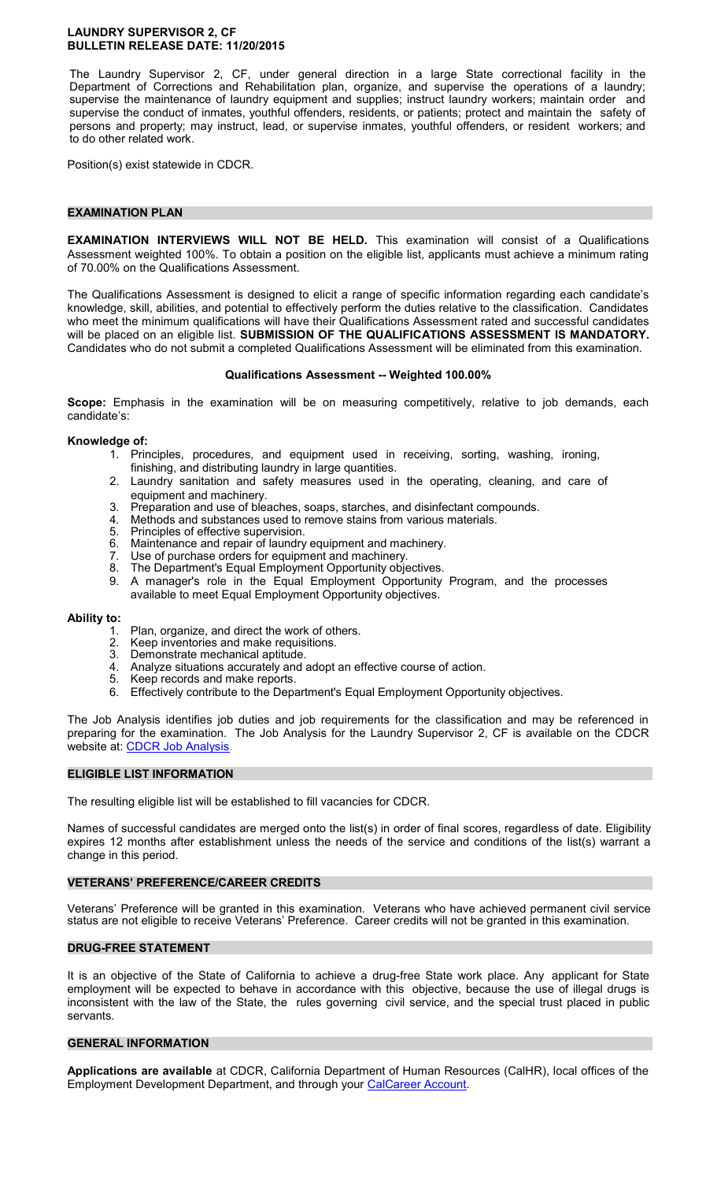#### **LAUNDRY SUPERVISOR 2, CF BULLETIN RELEASE DATE: 11/20/2015**

The Laundry Supervisor 2, CF, under general direction in a large State correctional facility in the Department of Corrections and Rehabilitation plan, organize, and supervise the operations of a laundry; supervise the maintenance of laundry equipment and supplies; instruct laundry workers; maintain order and supervise the conduct of inmates, youthful offenders, residents, or patients; protect and maintain the safety of persons and property; may instruct, lead, or supervise inmates, youthful offenders, or resident workers; and to do other related work.

Position(s) exist statewide in CDCR.

#### **EXAMINATION PLAN**

**EXAMINATION INTERVIEWS WILL NOT BE HELD.** This examination will consist of a Qualifications Assessment weighted 100%. To obtain a position on the eligible list, applicants must achieve a minimum rating of 70.00% on the Qualifications Assessment.

The Qualifications Assessment is designed to elicit a range of specific information regarding each candidate's knowledge, skill, abilities, and potential to effectively perform the duties relative to the classification. Candidates who meet the minimum qualifications will have their Qualifications Assessment rated and successful candidates will be placed on an eligible list. **SUBMISSION OF THE QUALIFICATIONS ASSESSMENT IS MANDATORY.**  Candidates who do not submit a completed Qualifications Assessment will be eliminated from this examination.

#### **Qualifications Assessment -- Weighted 100.00%**

**Scope:** Emphasis in the examination will be on measuring competitively, relative to job demands, each candidate's:

#### **Knowledge of:**

- 1. Principles, procedures, and equipment used in receiving, sorting, washing, ironing, finishing, and distributing laundry in large quantities.
- 2. Laundry sanitation and safety measures used in the operating, cleaning, and care of equipment and machinery.
- 3. Preparation and use of bleaches, soaps, starches, and disinfectant compounds.
- 4. Methods and substances used to remove stains from various materials.<br>5. Principles of effective supervision.
- 5. Principles of effective supervision.<br>6. Maintenance and repair of laundry
- 6. Maintenance and repair of laundry equipment and machinery.<br>7. Use of purchase orders for equipment and machinery.
- 7. Use of purchase orders for equipment and machinery.<br>8. The Department's Fqual Employment Opportunity obje
- The Department's Equal Employment Opportunity objectives.
- 9. A manager's role in the Equal Employment Opportunity Program, and the processes available to meet Equal Employment Opportunity objectives.

## **Ability to:**

- 1. Plan, organize, and direct the work of others.<br>2. Keep inventories and make requisitions.
- Keep inventories and make requisitions.
- 3. Demonstrate mechanical aptitude.
- 4. Analyze situations accurately and adopt an effective course of action.
- 5. Keep records and make reports.
- 6. Effectively contribute to the Department's Equal Employment Opportunity objectives.

The Job Analysis identifies job duties and job requirements for the classification and may be referenced in preparing for the examination. The Job Analysis for the Laundry Supervisor 2, CF is available on the CDCR website at: [CDCR Job Analysis.](https://www.cdcr.ca.gov/careers/career-opportunities/analysis/#L)

## **ELIGIBLE LIST INFORMATION**

The resulting eligible list will be established to fill vacancies for CDCR.

Names of successful candidates are merged onto the list(s) in order of final scores, regardless of date. Eligibility expires 12 months after establishment unless the needs of the service and conditions of the list(s) warrant a change in this period.

## **VETERANS' PREFERENCE/CAREER CREDITS**

Veterans' Preference will be granted in this examination. Veterans who have achieved permanent civil service status are not eligible to receive Veterans' Preference. Career credits will not be granted in this examination.

## **DRUG-FREE STATEMENT**

It is an objective of the State of California to achieve a drug-free State work place. Any applicant for State employment will be expected to behave in accordance with this objective, because the use of illegal drugs is inconsistent with the law of the State, the rules governing civil service, and the special trust placed in public servants.

#### **GENERAL INFORMATION**

**Applications are available** at CDCR, California Department of Human Resources (CalHR), local offices of the Employment Development Department, and through your [CalCareer Account.](https://www.jobs.ca.gov/)